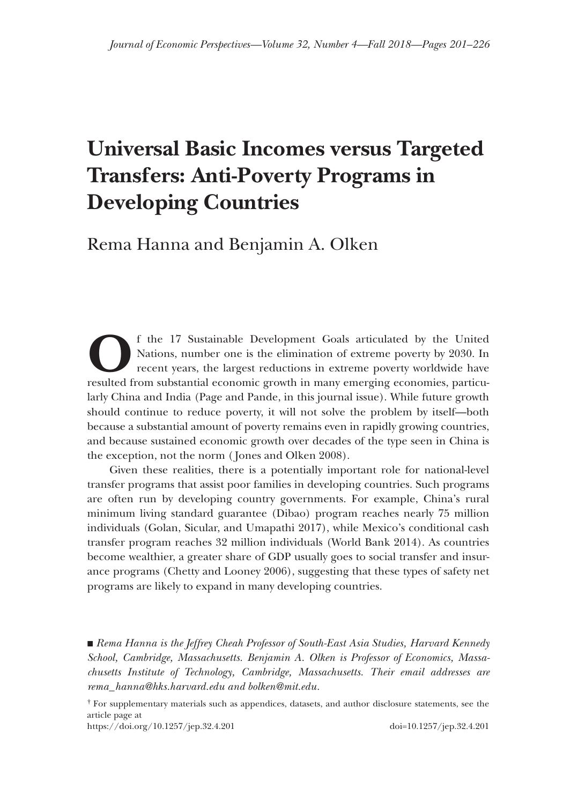# **Universal Basic Incomes versus Targeted Transfers: Anti-Poverty Programs in Developing Countries**

Rema Hanna and Benjamin A. Olken

**O**f the 17 Sustainable Development Goals articulated by the United Nations, number one is the elimination of extreme poverty by 2030. In recent years, the largest reductions in extreme poverty worldwide have resulted from Nations, number one is the elimination of extreme poverty by 2030. In recent years, the largest reductions in extreme poverty worldwide have resulted from substantial economic growth in many emerging economies, particularly China and India (Page and Pande, in this journal issue). While future growth should continue to reduce poverty, it will not solve the problem by itself—both because a substantial amount of poverty remains even in rapidly growing countries, and because sustained economic growth over decades of the type seen in China is the exception, not the norm ( Jones and Olken 2008).

Given these realities, there is a potentially important role for national-level transfer programs that assist poor families in developing countries. Such programs are often run by developing country governments. For example, China's rural minimum living standard guarantee (Dibao) program reaches nearly 75 million individuals (Golan, Sicular, and Umapathi 2017), while Mexico's conditional cash transfer program reaches 32 million individuals (World Bank 2014). As countries become wealthier, a greater share of GDP usually goes to social transfer and insurance programs (Chetty and Looney 2006), suggesting that these types of safety net programs are likely to expand in many developing countries.

■ *Rema Hanna is the Jeffrey Cheah Professor of South-East Asia Studies, Harvard Kennedy School, Cambridge, Massachusetts. Benjamin A. Olken is Professor of Economics, Massachusetts Institute of Technology, Cambridge, Massachusetts. Their email addresses are [rema\\_hanna@hks.harvard.edu](mailto:rema_hanna@hks.harvard.edu) and [bolken@mit.edu](mailto:bolken@mit.edu).*

† For supplementary materials such as appendices, datasets, and author disclosure statements, see the article page at

https://doi.org/10.1257/jep.32.4.201 doi=10.1257/jep.32.4.201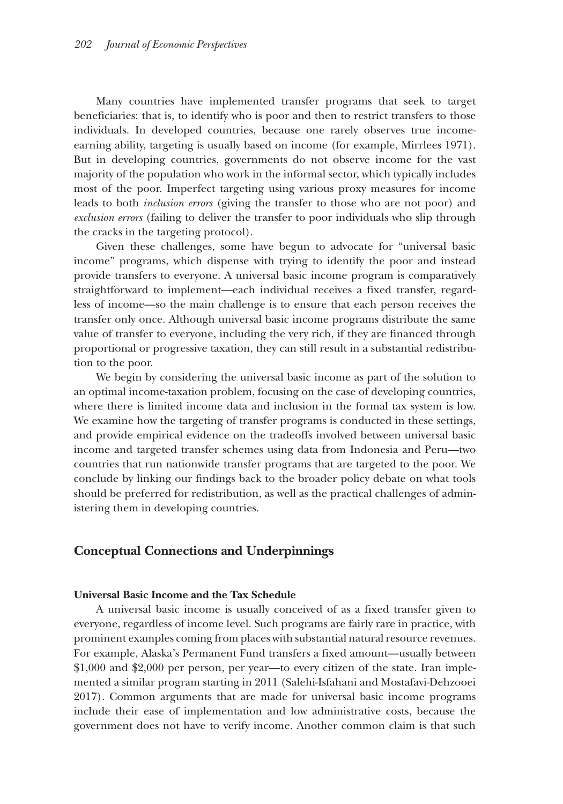Many countries have implemented transfer programs that seek to target beneficiaries: that is, to identify who is poor and then to restrict transfers to those individuals. In developed countries, because one rarely observes true incomeearning ability, targeting is usually based on income (for example, Mirrlees 1971). But in developing countries, governments do not observe income for the vast majority of the population who work in the informal sector, which typically includes most of the poor. Imperfect targeting using various proxy measures for income leads to both *inclusion errors* (giving the transfer to those who are not poor) and *exclusion errors* (failing to deliver the transfer to poor individuals who slip through the cracks in the targeting protocol).

Given these challenges, some have begun to advocate for "universal basic income" programs, which dispense with trying to identify the poor and instead provide transfers to everyone. A universal basic income program is comparatively straightforward to implement—each individual receives a fixed transfer, regardless of income—so the main challenge is to ensure that each person receives the transfer only once. Although universal basic income programs distribute the same value of transfer to everyone, including the very rich, if they are financed through proportional or progressive taxation, they can still result in a substantial redistribution to the poor.

We begin by considering the universal basic income as part of the solution to an optimal income-taxation problem, focusing on the case of developing countries, where there is limited income data and inclusion in the formal tax system is low. We examine how the targeting of transfer programs is conducted in these settings, and provide empirical evidence on the tradeoffs involved between universal basic income and targeted transfer schemes using data from Indonesia and Peru—two countries that run nationwide transfer programs that are targeted to the poor. We conclude by linking our findings back to the broader policy debate on what tools should be preferred for redistribution, as well as the practical challenges of administering them in developing countries.

## **Conceptual Connections and Underpinnings**

#### **Universal Basic Income and the Tax Schedule**

A universal basic income is usually conceived of as a fixed transfer given to everyone, regardless of income level. Such programs are fairly rare in practice, with prominent examples coming from places with substantial natural resource revenues. For example, Alaska's Permanent Fund transfers a fixed amount—usually between \$1,000 and \$2,000 per person, per year—to every citizen of the state. Iran implemented a similar program starting in 2011 (Salehi-Isfahani and Mostafavi-Dehzooei 2017). Common arguments that are made for universal basic income programs include their ease of implementation and low administrative costs, because the government does not have to verify income. Another common claim is that such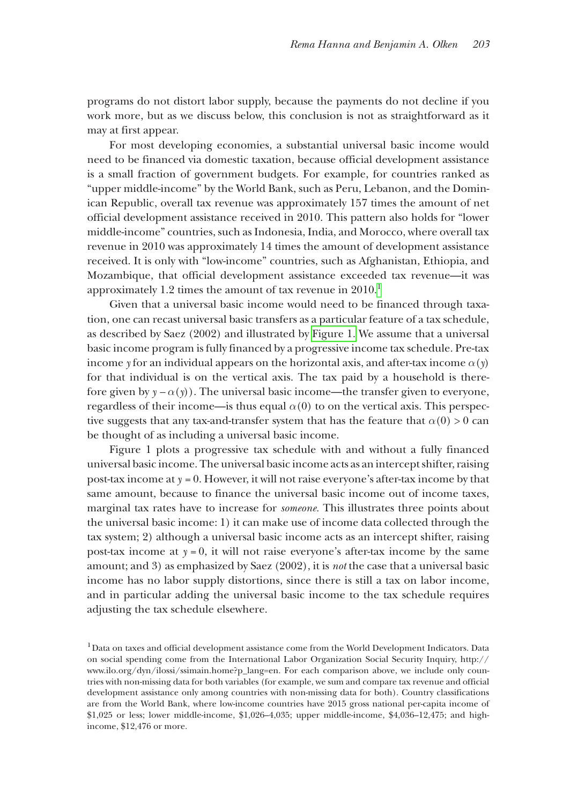programs do not distort labor supply, because the payments do not decline if you work more, but as we discuss below, this conclusion is not as straightforward as it may at first appear.

For most developing economies, a substantial universal basic income would need to be financed via domestic taxation, because official development assistance is a small fraction of government budgets. For example, for countries ranked as "upper middle-income" by the World Bank, such as Peru, Lebanon, and the Dominican Republic, overall tax revenue was approximately 157 times the amount of net official development assistance received in 2010. This pattern also holds for "lower middle-income" countries, such as Indonesia, India, and Morocco, where overall tax revenue in 2010 was approximately 14 times the amount of development assistance received. It is only with "low-income" countries, such as Afghanistan, Ethiopia, and Mozambique, that official development assistance exceeded tax revenue—it was approximately [1](#page-2-0).2 times the amount of tax revenue in  $2010<sup>1</sup>$ 

Given that a universal basic income would need to be financed through taxation, one can recast universal basic transfers as a particular feature of a tax schedule, as described by Saez (2002) and illustrated by [Figure 1.](#page-3-0) We assume that a universal basic income program is fully financed by a progressive income tax schedule. Pre-tax income *y* for an individual appears on the horizontal axis, and after-tax income  $\alpha(y)$ for that individual is on the vertical axis. The tax paid by a household is therefore given by  $y - \alpha(y)$ ). The universal basic income—the transfer given to everyone, regardless of their income—is thus equal  $\alpha(0)$  to on the vertical axis. This perspective suggests that any tax-and-transfer system that has the feature that  $\alpha(0) > 0$  can be thought of as including a universal basic income.

Figure 1 plots a progressive tax schedule with and without a fully financed universal basic income. The universal basic income acts as an intercept shifter, raising post-tax income at  $y = 0$ . However, it will not raise everyone's after-tax income by that same amount, because to finance the universal basic income out of income taxes, marginal tax rates have to increase for *someone.* This illustrates three points about the universal basic income: 1) it can make use of income data collected through the tax system; 2) although a universal basic income acts as an intercept shifter, raising post-tax income at  $y = 0$ , it will not raise everyone's after-tax income by the same amount; and 3) as emphasized by Saez (2002), it is *not* the case that a universal basic income has no labor supply distortions, since there is still a tax on labor income, and in particular adding the universal basic income to the tax schedule requires adjusting the tax schedule elsewhere.

<span id="page-2-0"></span> $1$ Data on taxes and official development assistance come from the World Development Indicators. Data on social spending come from the International Labor Organization Social Security Inquiry, [http://](http://www.ilo.org/dyn/ilossi/ssimain.home?p_lang=en) [www.ilo.org/dyn/ilossi/ssimain.home?p\\_lang=en.](http://www.ilo.org/dyn/ilossi/ssimain.home?p_lang=en) For each comparison above, we include only countries with non-missing data for both variables (for example, we sum and compare tax revenue and official development assistance only among countries with non-missing data for both). Country classifications are from the World Bank, where low-income countries have 2015 gross national per-capita income of \$1,025 or less; lower middle-income, \$1,026–4,035; upper middle-income, \$4,036–12,475; and highincome, \$12,476 or more.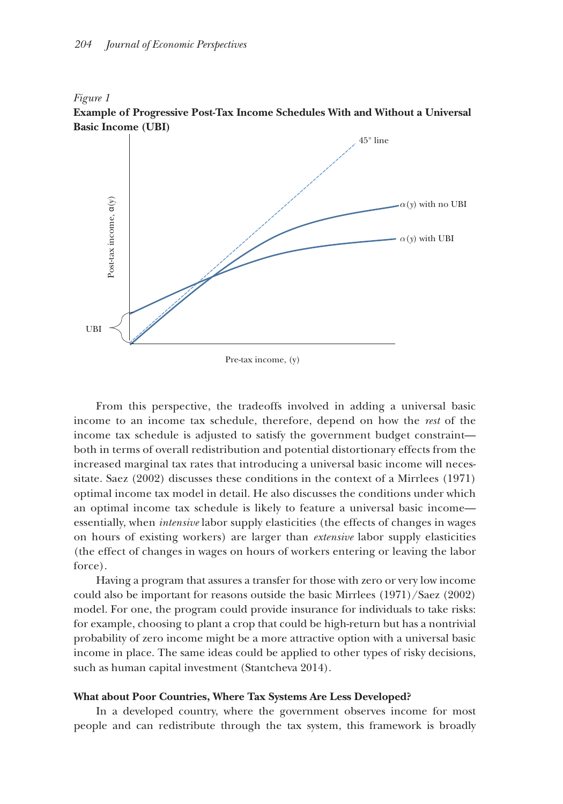

<span id="page-3-0"></span>

Pre-tax income, (y)

From this perspective, the tradeoffs involved in adding a universal basic income to an income tax schedule, therefore, depend on how the *rest* of the income tax schedule is adjusted to satisfy the government budget constraint both in terms of overall redistribution and potential distortionary effects from the increased marginal tax rates that introducing a universal basic income will necessitate. Saez (2002) discusses these conditions in the context of a Mirrlees (1971) optimal income tax model in detail. He also discusses the conditions under which an optimal income tax schedule is likely to feature a universal basic income essentially, when *intensive* labor supply elasticities (the effects of changes in wages on hours of existing workers) are larger than *extensive* labor supply elasticities (the effect of changes in wages on hours of workers entering or leaving the labor force).

Having a program that assures a transfer for those with zero or very low income could also be important for reasons outside the basic Mirrlees (1971)/Saez (2002) model. For one, the program could provide insurance for individuals to take risks: for example, choosing to plant a crop that could be high-return but has a nontrivial probability of zero income might be a more attractive option with a universal basic income in place. The same ideas could be applied to other types of risky decisions, such as human capital investment (Stantcheva 2014).

#### **What about Poor Countries, Where Tax Systems Are Less Developed?**

In a developed country, where the government observes income for most people and can redistribute through the tax system, this framework is broadly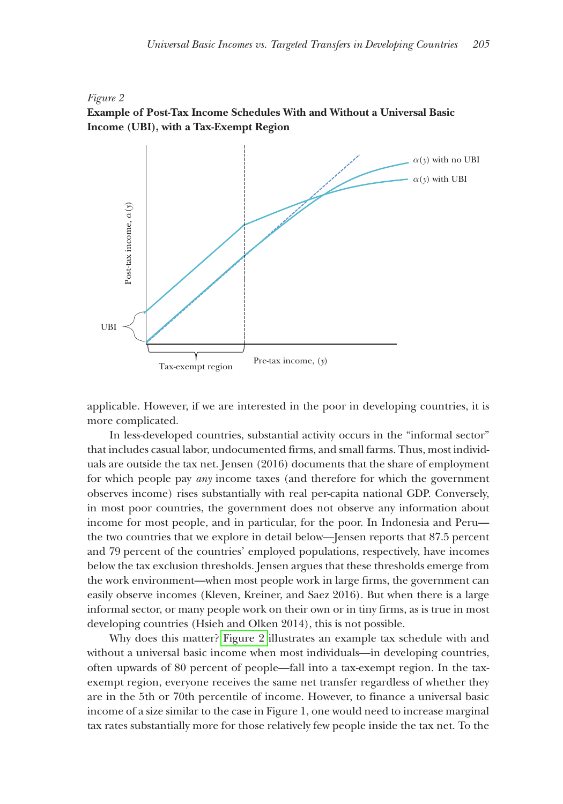



applicable. However, if we are interested in the poor in developing countries, it is more complicated.

In less-developed countries, substantial activity occurs in the "informal sector" that includes casual labor, undocumented firms, and small farms. Thus, most individuals are outside the tax net. Jensen (2016) documents that the share of employment for which people pay *any* income taxes (and therefore for which the government observes income) rises substantially with real per-capita national GDP. Conversely, in most poor countries, the government does not observe any information about income for most people, and in particular, for the poor. In Indonesia and Peru the two countries that we explore in detail below—Jensen reports that 87.5 percent and 79 percent of the countries' employed populations, respectively, have incomes below the tax exclusion thresholds. Jensen argues that these thresholds emerge from the work environment—when most people work in large firms, the government can easily observe incomes (Kleven, Kreiner, and Saez 2016). But when there is a large informal sector, or many people work on their own or in tiny firms, as is true in most developing countries (Hsieh and Olken 2014), this is not possible.

Why does this matter? Figure 2 illustrates an example tax schedule with and without a universal basic income when most individuals—in developing countries, often upwards of 80 percent of people—fall into a tax-exempt region. In the taxexempt region, everyone receives the same net transfer regardless of whether they are in the 5th or 70th percentile of income. However, to finance a universal basic income of a size similar to the case in Figure 1, one would need to increase marginal tax rates substantially more for those relatively few people inside the tax net. To the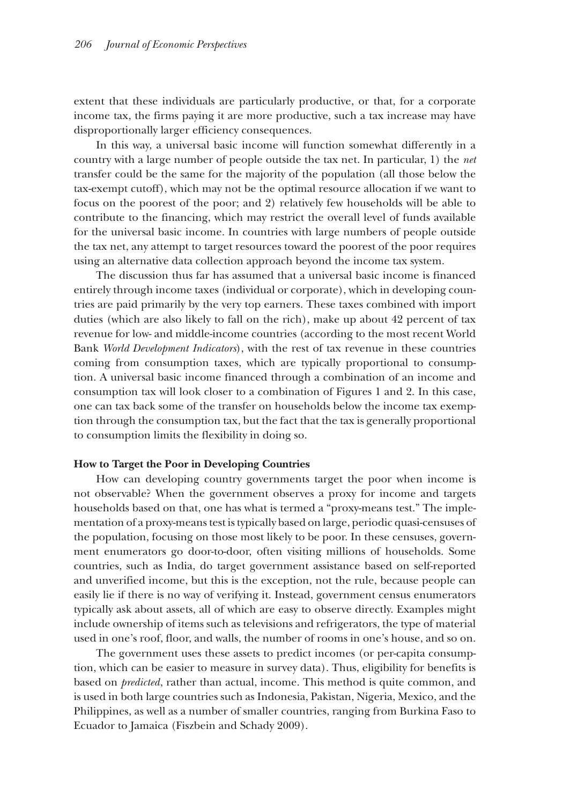extent that these individuals are particularly productive, or that, for a corporate income tax, the firms paying it are more productive, such a tax increase may have disproportionally larger efficiency consequences.

In this way, a universal basic income will function somewhat differently in a country with a large number of people outside the tax net. In particular, 1) the *net* transfer could be the same for the majority of the population (all those below the tax-exempt cutoff), which may not be the optimal resource allocation if we want to focus on the poorest of the poor; and 2) relatively few households will be able to contribute to the financing, which may restrict the overall level of funds available for the universal basic income. In countries with large numbers of people outside the tax net, any attempt to target resources toward the poorest of the poor requires using an alternative data collection approach beyond the income tax system.

The discussion thus far has assumed that a universal basic income is financed entirely through income taxes (individual or corporate), which in developing countries are paid primarily by the very top earners. These taxes combined with import duties (which are also likely to fall on the rich), make up about 42 percent of tax revenue for low- and middle-income countries (according to the most recent World Bank *World Development Indicators*), with the rest of tax revenue in these countries coming from consumption taxes, which are typically proportional to consumption. A universal basic income financed through a combination of an income and consumption tax will look closer to a combination of Figures 1 and 2. In this case, one can tax back some of the transfer on households below the income tax exemption through the consumption tax, but the fact that the tax is generally proportional to consumption limits the flexibility in doing so.

## **How to Target the Poor in Developing Countries**

How can developing country governments target the poor when income is not observable? When the government observes a proxy for income and targets households based on that, one has what is termed a "proxy-means test." The implementation of a proxy-means test is typically based on large, periodic quasi-censuses of the population, focusing on those most likely to be poor. In these censuses, government enumerators go door-to-door, often visiting millions of households. Some countries, such as India, do target government assistance based on self-reported and unverified income, but this is the exception, not the rule, because people can easily lie if there is no way of verifying it. Instead, government census enumerators typically ask about assets, all of which are easy to observe directly. Examples might include ownership of items such as televisions and refrigerators, the type of material used in one's roof, floor, and walls, the number of rooms in one's house, and so on.

The government uses these assets to predict incomes (or per-capita consumption, which can be easier to measure in survey data). Thus, eligibility for benefits is based on *predicted*, rather than actual, income. This method is quite common, and is used in both large countries such as Indonesia, Pakistan, Nigeria, Mexico, and the Philippines, as well as a number of smaller countries, ranging from Burkina Faso to Ecuador to Jamaica (Fiszbein and Schady 2009).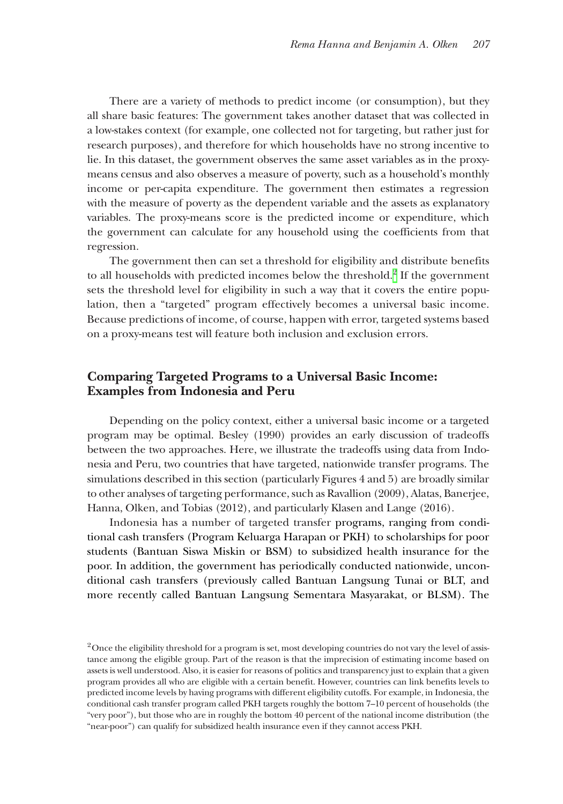There are a variety of methods to predict income (or consumption), but they all share basic features: The government takes another dataset that was collected in a low-stakes context (for example, one collected not for targeting, but rather just for research purposes), and therefore for which households have no strong incentive to lie. In this dataset, the government observes the same asset variables as in the proxymeans census and also observes a measure of poverty, such as a household's monthly income or per-capita expenditure. The government then estimates a regression with the measure of poverty as the dependent variable and the assets as explanatory variables. The proxy-means score is the predicted income or expenditure, which the government can calculate for any household using the coefficients from that regression.

The government then can set a threshold for eligibility and distribute benefits to all households with predicted incomes below the threshold. $2$  If the government sets the threshold level for eligibility in such a way that it covers the entire population, then a "targeted" program effectively becomes a universal basic income. Because predictions of income, of course, happen with error, targeted systems based on a proxy-means test will feature both inclusion and exclusion errors.

# **Comparing Targeted Programs to a Universal Basic Income: Examples from Indonesia and Peru**

Depending on the policy context, either a universal basic income or a targeted program may be optimal. Besley (1990) provides an early discussion of tradeoffs between the two approaches. Here, we illustrate the tradeoffs using data from Indonesia and Peru, two countries that have targeted, nationwide transfer programs. The simulations described in this section (particularly Figures 4 and 5) are broadly similar to other analyses of targeting performance, such as Ravallion (2009), Alatas, Banerjee, Hanna, Olken, and Tobias (2012), and particularly Klasen and Lange (2016).

Indonesia has a number of targeted transfer programs, ranging from conditional cash transfers (Program Keluarga Harapan or PKH) to scholarships for poor students (Bantuan Siswa Miskin or BSM) to subsidized health insurance for the poor. In addition, the government has periodically conducted nationwide, unconditional cash transfers (previously called Bantuan Langsung Tunai or BLT, and more recently called Bantuan Langsung Sementara Masyarakat, or BLSM). The

<span id="page-6-0"></span><sup>&</sup>lt;sup>2</sup>Once the eligibility threshold for a program is set, most developing countries do not vary the level of assistance among the eligible group. Part of the reason is that the imprecision of estimating income based on assets is well understood. Also, it is easier for reasons of politics and transparency just to explain that a given program provides all who are eligible with a certain benefit. However, countries can link benefits levels to predicted income levels by having programs with different eligibility cutoffs. For example, in Indonesia, the conditional cash transfer program called PKH targets roughly the bottom 7–10 percent of households (the "very poor"), but those who are in roughly the bottom 40 percent of the national income distribution (the "near-poor") can qualify for subsidized health insurance even if they cannot access PKH.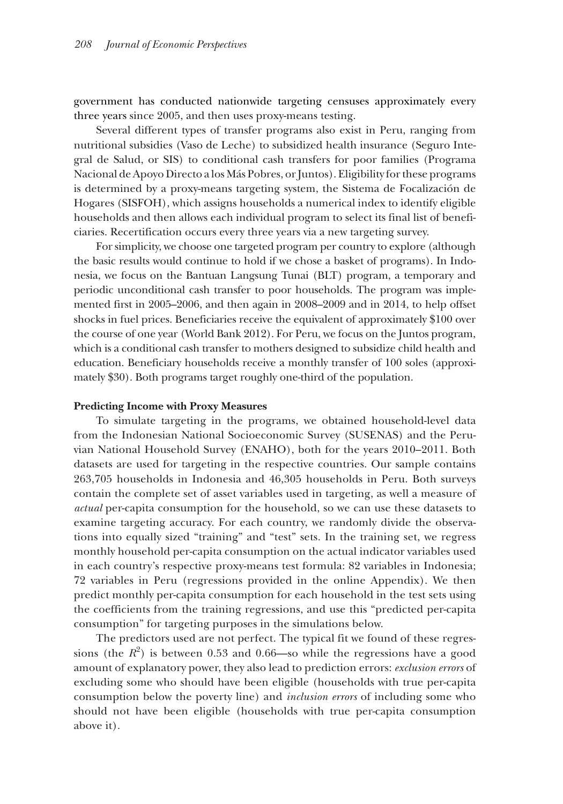government has conducted nationwide targeting censuses approximately every three years since 2005, and then uses proxy-means testing.

Several different types of transfer programs also exist in Peru, ranging from nutritional subsidies (Vaso de Leche) to subsidized health insurance (Seguro Integral de Salud, or SIS) to conditional cash transfers for poor families (Programa Nacional de Apoyo Directo a los Más Pobres, or Juntos). Eligibility for these programs is determined by a proxy-means targeting system, the Sistema de Focalización de Hogares (SISFOH), which assigns households a numerical index to identify eligible households and then allows each individual program to select its final list of beneficiaries. Recertification occurs every three years via a new targeting survey.

For simplicity, we choose one targeted program per country to explore (although the basic results would continue to hold if we chose a basket of programs). In Indonesia, we focus on the Bantuan Langsung Tunai (BLT) program, a temporary and periodic unconditional cash transfer to poor households. The program was implemented first in 2005–2006, and then again in 2008–2009 and in 2014, to help offset shocks in fuel prices. Beneficiaries receive the equivalent of approximately \$100 over the course of one year (World Bank 2012). For Peru, we focus on the Juntos program, which is a conditional cash transfer to mothers designed to subsidize child health and education. Beneficiary households receive a monthly transfer of 100 soles (approximately \$30). Both programs target roughly one-third of the population.

#### **Predicting Income with Proxy Measures**

To simulate targeting in the programs, we obtained household-level data from the Indonesian National Socioeconomic Survey (SUSENAS) and the Peruvian National Household Survey (ENAHO), both for the years 2010–2011. Both datasets are used for targeting in the respective countries. Our sample contains 263,705 households in Indonesia and 46,305 households in Peru. Both surveys contain the complete set of asset variables used in targeting, as well a measure of *actual* per-capita consumption for the household, so we can use these datasets to examine targeting accuracy. For each country, we randomly divide the observations into equally sized "training" and "test" sets. In the training set, we regress monthly household per-capita consumption on the actual indicator variables used in each country's respective proxy-means test formula: 82 variables in Indonesia; 72 variables in Peru (regressions provided in the online Appendix). We then predict monthly per-capita consumption for each household in the test sets using the coefficients from the training regressions, and use this "predicted per-capita consumption" for targeting purposes in the simulations below.

The predictors used are not perfect. The typical fit we found of these regressions (the  $R^2$ ) is between 0.53 and 0.66—so while the regressions have a good amount of explanatory power, they also lead to prediction errors: *exclusion errors* of excluding some who should have been eligible (households with true per-capita consumption below the poverty line) and *inclusion errors* of including some who should not have been eligible (households with true per-capita consumption above it).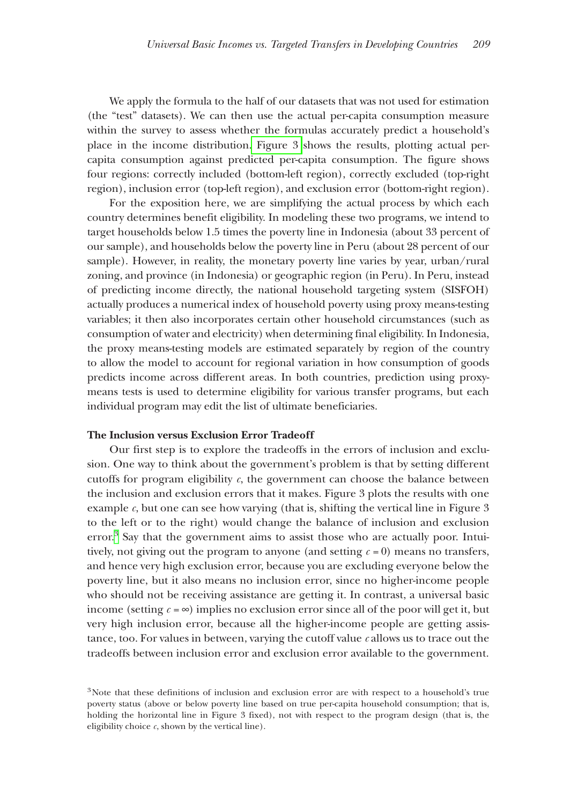We apply the formula to the half of our datasets that was not used for estimation (the "test" datasets). We can then use the actual per-capita consumption measure within the survey to assess whether the formulas accurately predict a household's place in the income distribution[. Figure 3](#page-9-0) shows the results, plotting actual percapita consumption against predicted per-capita consumption. The figure shows four regions: correctly included (bottom-left region), correctly excluded (top-right region), inclusion error (top-left region), and exclusion error (bottom-right region).

For the exposition here, we are simplifying the actual process by which each country determines benefit eligibility. In modeling these two programs, we intend to target households below 1.5 times the poverty line in Indonesia (about 33 percent of our sample), and households below the poverty line in Peru (about 28 percent of our sample). However, in reality, the monetary poverty line varies by year, urban/rural zoning, and province (in Indonesia) or geographic region (in Peru). In Peru, instead of predicting income directly, the national household targeting system (SISFOH) actually produces a numerical index of household poverty using proxy means-testing variables; it then also incorporates certain other household circumstances (such as consumption of water and electricity) when determining final eligibility. In Indonesia, the proxy means-testing models are estimated separately by region of the country to allow the model to account for regional variation in how consumption of goods predicts income across different areas. In both countries, prediction using proxymeans tests is used to determine eligibility for various transfer programs, but each individual program may edit the list of ultimate beneficiaries.

#### **The Inclusion versus Exclusion Error Tradeoff**

Our first step is to explore the tradeoffs in the errors of inclusion and exclusion. One way to think about the government's problem is that by setting different cutoffs for program eligibility  $c$ , the government can choose the balance between the inclusion and exclusion errors that it makes. Figure 3 plots the results with one example  $c$ , but one can see how varying (that is, shifting the vertical line in Figure  $3$ to the left or to the right) would change the balance of inclusion and exclusion error.<sup>3</sup> Say that the government aims to assist those who are actually poor. Intuitively, not giving out the program to anyone (and setting  $c = 0$ ) means no transfers, and hence very high exclusion error, because you are excluding everyone below the poverty line, but it also means no inclusion error, since no higher-income people who should not be receiving assistance are getting it. In contrast, a universal basic income (setting  $c = \infty$ ) implies no exclusion error since all of the poor will get it, but very high inclusion error, because all the higher-income people are getting assistance, too. For values in between, varying the cutoff value *c* allows us to trace out the tradeoffs between inclusion error and exclusion error available to the government.

<span id="page-8-0"></span><sup>3</sup>Note that these definitions of inclusion and exclusion error are with respect to a household's true poverty status (above or below poverty line based on true per-capita household consumption; that is, holding the horizontal line in Figure 3 fixed), not with respect to the program design (that is, the eligibility choice  $c$ , shown by the vertical line).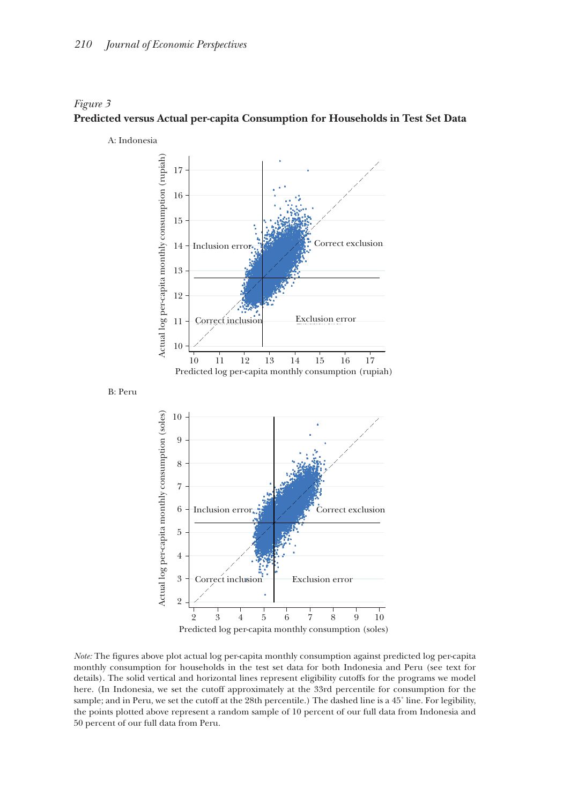B: Peru

# <span id="page-9-0"></span>*Figure 3* **Predicted versus Actual per-capita Consumption for Households in Test Set Data**





*Note:* The figures above plot actual log per-capita monthly consumption against predicted log per-capita monthly consumption for households in the test set data for both Indonesia and Peru (see text for details). The solid vertical and horizontal lines represent eligibility cutoffs for the programs we model here. (In Indonesia, we set the cutoff approximately at the 33rd percentile for consumption for the sample; and in Peru, we set the cutoff at the 28th percentile.) The dashed line is a 45˚ line. For legibility, the points plotted above represent a random sample of 10 percent of our full data from Indonesia and 50 percent of our full data from Peru.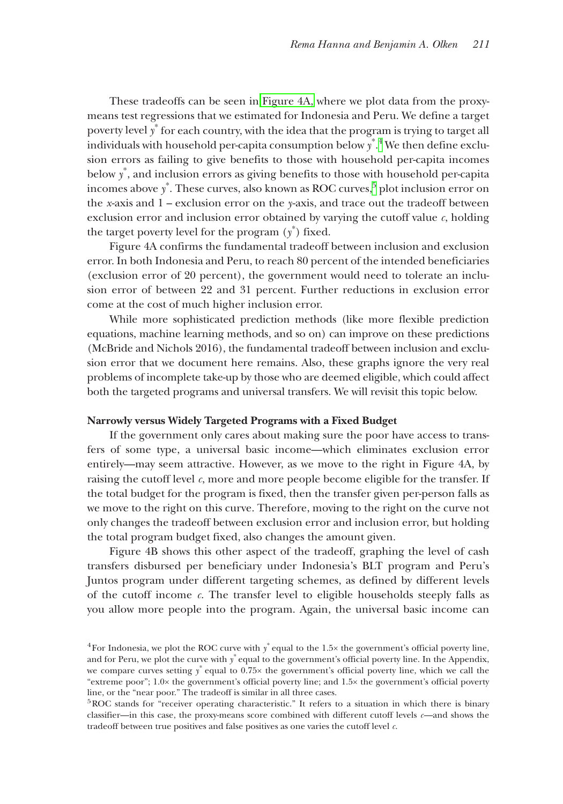These tradeoffs can be seen in [Figure 4A,](#page-11-0) where we plot data from the proxymeans test regressions that we estimated for Indonesia and Peru. We define a target poverty level *y*\* for each country, with the idea that the program is trying to target all individuals with household per-capita consumption below *y*\* . [4](#page-10-0) We then define exclusion errors as failing to give benefits to those with household per-capita incomes below *y*\* , and inclusion errors as giving benefits to those with household per-capita incomes above *y*\* . These curves, also known as ROC curves[,5](#page-10-1) plot inclusion error on the *x*-axis and 1 – exclusion error on the *y*-axis, and trace out the tradeoff between exclusion error and inclusion error obtained by varying the cutoff value *c*, holding the target poverty level for the program (*y*\* ) fixed.

Figure 4A confirms the fundamental tradeoff between inclusion and exclusion error. In both Indonesia and Peru, to reach 80 percent of the intended beneficiaries (exclusion error of 20 percent), the government would need to tolerate an inclusion error of between 22 and 31 percent. Further reductions in exclusion error come at the cost of much higher inclusion error.

While more sophisticated prediction methods (like more flexible prediction equations, machine learning methods, and so on) can improve on these predictions (McBride and Nichols 2016), the fundamental tradeoff between inclusion and exclusion error that we document here remains. Also, these graphs ignore the very real problems of incomplete take-up by those who are deemed eligible, which could affect both the targeted programs and universal transfers. We will revisit this topic below.

#### **Narrowly versus Widely Targeted Programs with a Fixed Budget**

If the government only cares about making sure the poor have access to transfers of some type, a universal basic income—which eliminates exclusion error entirely—may seem attractive. However, as we move to the right in Figure 4A, by raising the cutoff level  $c$ , more and more people become eligible for the transfer. If the total budget for the program is fixed, then the transfer given per-person falls as we move to the right on this curve. Therefore, moving to the right on the curve not only changes the tradeoff between exclusion error and inclusion error, but holding the total program budget fixed, also changes the amount given.

Figure 4B shows this other aspect of the tradeoff, graphing the level of cash transfers disbursed per beneficiary under Indonesia's BLT program and Peru's Juntos program under different targeting schemes, as defined by different levels of the cutoff income *c*. The transfer level to eligible households steeply falls as you allow more people into the program. Again, the universal basic income can

<span id="page-10-0"></span><sup>4</sup>For Indonesia, we plot the ROC curve with *y*\* equal to the 1.5× the government's official poverty line, and for Peru, we plot the curve with *y*\* equal to the government's official poverty line. In the Appendix, we compare curves setting *y*\* equal to 0.75× the government's official poverty line, which we call the "extreme poor"; 1.0× the government's official poverty line; and 1.5× the government's official poverty line, or the "near poor." The tradeoff is similar in all three cases.

<span id="page-10-1"></span><sup>5</sup>ROC stands for "receiver operating characteristic." It refers to a situation in which there is binary classifier—in this case, the proxy-means score combined with different cutoff levels *c*—and shows the tradeoff between true positives and false positives as one varies the cutoff level *c*.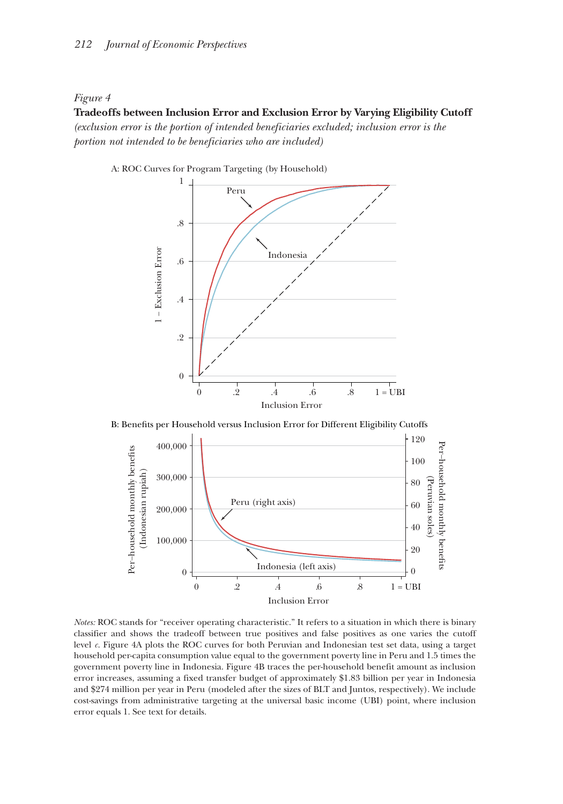#### <span id="page-11-0"></span>*Figure 4*

## **Tradeoffs between Inclusion Error and Exclusion Error by Varying Eligibility Cutoff**

*(exclusion error is the portion of intended beneficiaries excluded; inclusion error is the portion not intended to be beneficiaries who are included)*





B: Benefits per Household versus Inclusion Error for Different Eligibility Cutoffs



*Notes:* ROC stands for "receiver operating characteristic." It refers to a situation in which there is binary classifier and shows the tradeoff between true positives and false positives as one varies the cutoff level *c*. Figure 4A plots the ROC curves for both Peruvian and Indonesian test set data, using a target household per-capita consumption value equal to the government poverty line in Peru and 1.5 times the government poverty line in Indonesia. Figure 4B traces the per-household benefit amount as inclusion error increases, assuming a fixed transfer budget of approximately \$1.83 billion per year in Indonesia and \$274 million per year in Peru (modeled after the sizes of BLT and Juntos, respectively). We include cost-savings from administrative targeting at the universal basic income (UBI) point, where inclusion error equals 1. See text for details.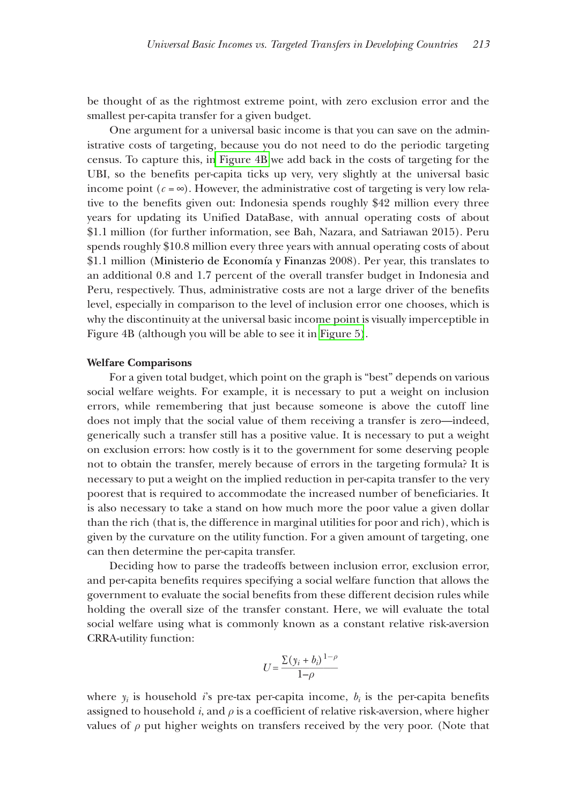be thought of as the rightmost extreme point, with zero exclusion error and the smallest per-capita transfer for a given budget.

One argument for a universal basic income is that you can save on the administrative costs of targeting, because you do not need to do the periodic targeting census. To capture this, i[n Figure 4B](#page-11-0) we add back in the costs of targeting for the UBI, so the benefits per-capita ticks up very, very slightly at the universal basic income point ( $c = \infty$ ). However, the administrative cost of targeting is very low relative to the benefits given out: Indonesia spends roughly \$42 million every three years for updating its Unified DataBase, with annual operating costs of about \$1.1 million (for further information, see Bah, Nazara, and Satriawan 2015). Peru spends roughly \$10.8 million every three years with annual operating costs of about \$1.1 million (Ministerio de Economía y Finanzas 2008). Per year, this translates to an additional 0.8 and 1.7 percent of the overall transfer budget in Indonesia and Peru, respectively. Thus, administrative costs are not a large driver of the benefits level, especially in comparison to the level of inclusion error one chooses, which is why the discontinuity at the universal basic income point is visually imperceptible in Figure 4B (although you will be able to see it in [Figure 5\)](#page-13-0).

#### **Welfare Comparisons**

For a given total budget, which point on the graph is "best" depends on various social welfare weights. For example, it is necessary to put a weight on inclusion errors, while remembering that just because someone is above the cutoff line does not imply that the social value of them receiving a transfer is zero—indeed, generically such a transfer still has a positive value. It is necessary to put a weight on exclusion errors: how costly is it to the government for some deserving people not to obtain the transfer, merely because of errors in the targeting formula? It is necessary to put a weight on the implied reduction in per-capita transfer to the very poorest that is required to accommodate the increased number of beneficiaries. It is also necessary to take a stand on how much more the poor value a given dollar than the rich (that is, the difference in marginal utilities for poor and rich), which is given by the curvature on the utility function. For a given amount of targeting, one can then determine the per-capita transfer.

Deciding how to parse the tradeoffs between inclusion error, exclusion error, and per-capita benefits requires specifying a social welfare function that allows the government to evaluate the social benefits from these different decision rules while holding the overall size of the transfer constant. Here, we will evaluate the total social welfare using what is commonly known as a constant relative risk-aversion CRRA-utility function:

$$
U = \frac{\sum (y_i + b_i)^{1-\rho}}{1-\rho}
$$

where  $y_i$  is household *i*'s pre-tax per-capita income,  $b_i$  is the per-capita benefits assigned to household  $i$ , and  $\rho$  is a coefficient of relative risk-aversion, where higher values of  $\rho$  put higher weights on transfers received by the very poor. (Note that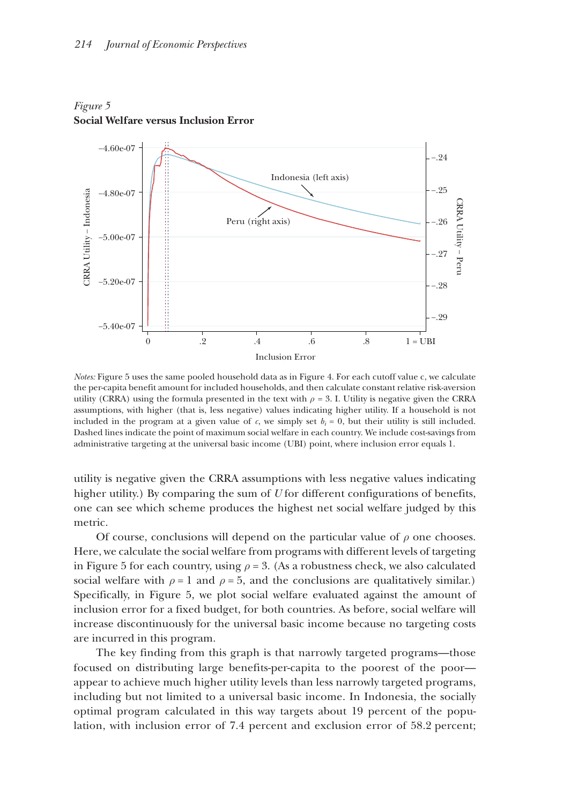

<span id="page-13-0"></span>*Figure 5* **Social Welfare versus Inclusion Error** 

*Notes:* Figure 5 uses the same pooled household data as in Figure 4. For each cutoff value c, we calculate the per-capita benefit amount for included households, and then calculate constant relative risk-aversion utility (CRRA) using the formula presented in the text with  $\rho = 3$ . I. Utility is negative given the CRRA assumptions, with higher (that is, less negative) values indicating higher utility. If a household is not included in the program at a given value of  $c$ , we simply set  $b_i = 0$ , but their utility is still included. Dashed lines indicate the point of maximum social welfare in each country. We include cost-savings from administrative targeting at the universal basic income (UBI) point, where inclusion error equals 1.

utility is negative given the CRRA assumptions with less negative values indicating higher utility.) By comparing the sum of *U* for different configurations of benefits, one can see which scheme produces the highest net social welfare judged by this metric.

Of course, conclusions will depend on the particular value of  $\rho$  one chooses. Here, we calculate the social welfare from programs with different levels of targeting in Figure 5 for each country, using  $\rho = 3$ . (As a robustness check, we also calculated social welfare with  $\rho = 1$  and  $\rho = 5$ , and the conclusions are qualitatively similar.) Specifically, in Figure 5, we plot social welfare evaluated against the amount of inclusion error for a fixed budget, for both countries. As before, social welfare will increase discontinuously for the universal basic income because no targeting costs are incurred in this program.

The key finding from this graph is that narrowly targeted programs—those focused on distributing large benefits-per-capita to the poorest of the poor appear to achieve much higher utility levels than less narrowly targeted programs, including but not limited to a universal basic income. In Indonesia, the socially optimal program calculated in this way targets about 19 percent of the population, with inclusion error of 7.4 percent and exclusion error of 58.2 percent;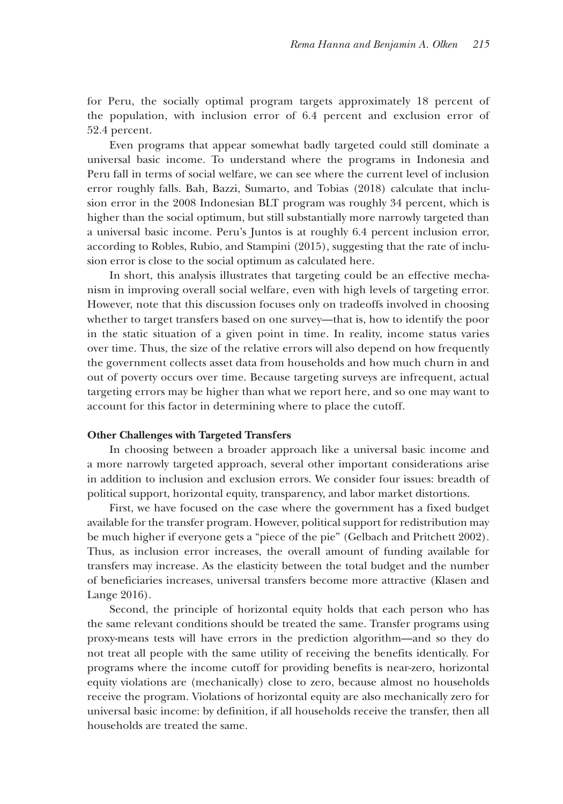for Peru, the socially optimal program targets approximately 18 percent of the population, with inclusion error of 6.4 percent and exclusion error of 52.4 percent.

Even programs that appear somewhat badly targeted could still dominate a universal basic income. To understand where the programs in Indonesia and Peru fall in terms of social welfare, we can see where the current level of inclusion error roughly falls. Bah, Bazzi, Sumarto, and Tobias (2018) calculate that inclusion error in the 2008 Indonesian BLT program was roughly 34 percent, which is higher than the social optimum, but still substantially more narrowly targeted than a universal basic income. Peru's Juntos is at roughly 6.4 percent inclusion error, according to Robles, Rubio, and Stampini (2015), suggesting that the rate of inclusion error is close to the social optimum as calculated here.

In short, this analysis illustrates that targeting could be an effective mechanism in improving overall social welfare, even with high levels of targeting error. However, note that this discussion focuses only on tradeoffs involved in choosing whether to target transfers based on one survey—that is, how to identify the poor in the static situation of a given point in time. In reality, income status varies over time. Thus, the size of the relative errors will also depend on how frequently the government collects asset data from households and how much churn in and out of poverty occurs over time. Because targeting surveys are infrequent, actual targeting errors may be higher than what we report here, and so one may want to account for this factor in determining where to place the cutoff.

#### **Other Challenges with Targeted Transfers**

In choosing between a broader approach like a universal basic income and a more narrowly targeted approach, several other important considerations arise in addition to inclusion and exclusion errors. We consider four issues: breadth of political support, horizontal equity, transparency, and labor market distortions.

First, we have focused on the case where the government has a fixed budget available for the transfer program. However, political support for redistribution may be much higher if everyone gets a "piece of the pie" (Gelbach and Pritchett 2002). Thus, as inclusion error increases, the overall amount of funding available for transfers may increase. As the elasticity between the total budget and the number of beneficiaries increases, universal transfers become more attractive (Klasen and Lange 2016).

Second, the principle of horizontal equity holds that each person who has the same relevant conditions should be treated the same. Transfer programs using proxy-means tests will have errors in the prediction algorithm—and so they do not treat all people with the same utility of receiving the benefits identically. For programs where the income cutoff for providing benefits is near-zero, horizontal equity violations are (mechanically) close to zero, because almost no households receive the program. Violations of horizontal equity are also mechanically zero for universal basic income: by definition, if all households receive the transfer, then all households are treated the same.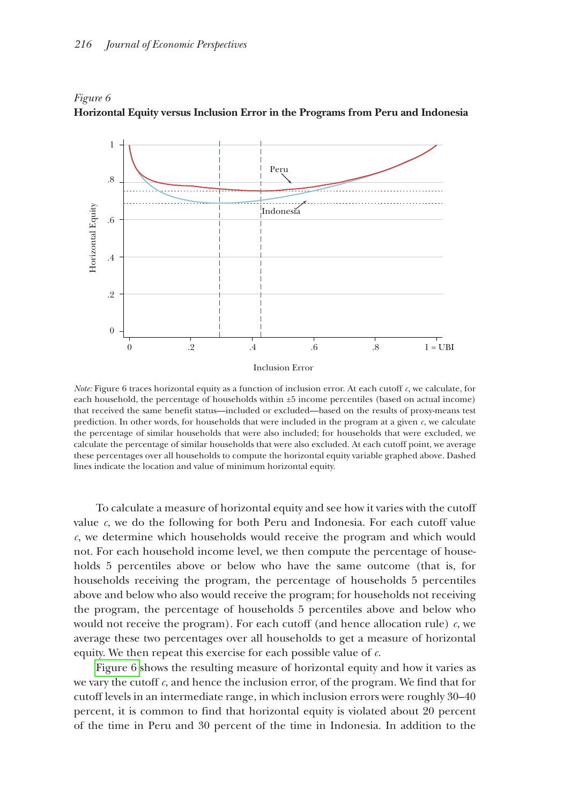

*Figure 6* **Horizontal Equity versus Inclusion Error in the Programs from Peru and Indonesia**

*Note:* Figure 6 traces horizontal equity as a function of inclusion error. At each cutoff *c*, we calculate, for each household, the percentage of households within ±5 income percentiles (based on actual income) that received the same benefit status—included or excluded—based on the results of proxy-means test prediction. In other words, for households that were included in the program at a given  $c$ , we calculate the percentage of similar households that were also included; for households that were excluded, we calculate the percentage of similar households that were also excluded. At each cutoff point, we average these percentages over all households to compute the horizontal equity variable graphed above. Dashed lines indicate the location and value of minimum horizontal equity.

To calculate a measure of horizontal equity and see how it varies with the cutoff value  $c$ , we do the following for both Peru and Indonesia. For each cutoff value *c*, we determine which households would receive the program and which would not. For each household income level, we then compute the percentage of households 5 percentiles above or below who have the same outcome (that is, for households receiving the program, the percentage of households 5 percentiles above and below who also would receive the program; for households not receiving the program, the percentage of households 5 percentiles above and below who would not receive the program). For each cutoff (and hence allocation rule) *c*, we average these two percentages over all households to get a measure of horizontal equity. We then repeat this exercise for each possible value of *c*.

Figure 6 shows the resulting measure of horizontal equity and how it varies as we vary the cutoff *c*, and hence the inclusion error, of the program. We find that for cutoff levels in an intermediate range, in which inclusion errors were roughly 30–40 percent, it is common to find that horizontal equity is violated about 20 percent of the time in Peru and 30 percent of the time in Indonesia. In addition to the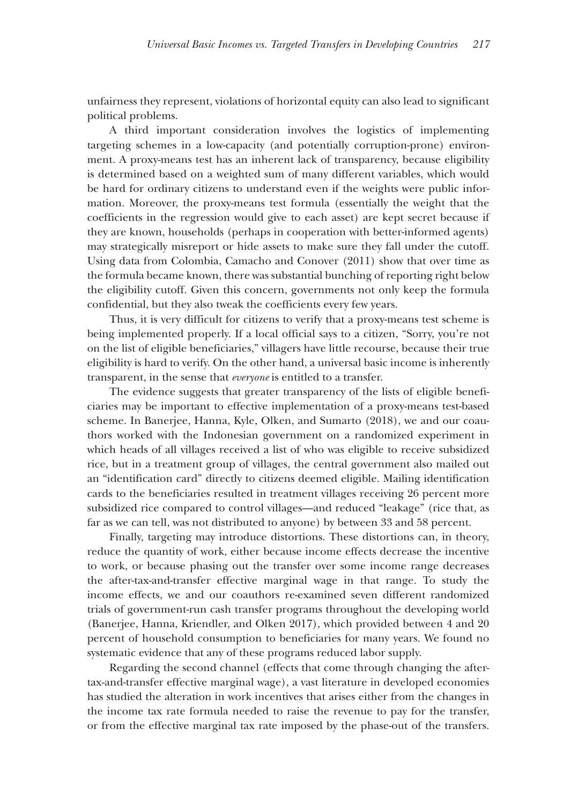unfairness they represent, violations of horizontal equity can also lead to significant political problems.

A third important consideration involves the logistics of implementing targeting schemes in a low-capacity (and potentially corruption-prone) environment. A proxy-means test has an inherent lack of transparency, because eligibility is determined based on a weighted sum of many different variables, which would be hard for ordinary citizens to understand even if the weights were public information. Moreover, the proxy-means test formula (essentially the weight that the coefficients in the regression would give to each asset) are kept secret because if they are known, households (perhaps in cooperation with better-informed agents) may strategically misreport or hide assets to make sure they fall under the cutoff. Using data from Colombia, Camacho and Conover (2011) show that over time as the formula became known, there was substantial bunching of reporting right below the eligibility cutoff. Given this concern, governments not only keep the formula confidential, but they also tweak the coefficients every few years.

Thus, it is very difficult for citizens to verify that a proxy-means test scheme is being implemented properly. If a local official says to a citizen, "Sorry, you're not on the list of eligible beneficiaries," villagers have little recourse, because their true eligibility is hard to verify. On the other hand, a universal basic income is inherently transparent, in the sense that *everyone* is entitled to a transfer.

The evidence suggests that greater transparency of the lists of eligible beneficiaries may be important to effective implementation of a proxy-means test-based scheme. In Banerjee, Hanna, Kyle, Olken, and Sumarto (2018), we and our coauthors worked with the Indonesian government on a randomized experiment in which heads of all villages received a list of who was eligible to receive subsidized rice, but in a treatment group of villages, the central government also mailed out an "identification card" directly to citizens deemed eligible. Mailing identification cards to the beneficiaries resulted in treatment villages receiving 26 percent more subsidized rice compared to control villages—and reduced "leakage" (rice that, as far as we can tell, was not distributed to anyone) by between 33 and 58 percent.

Finally, targeting may introduce distortions. These distortions can, in theory, reduce the quantity of work, either because income effects decrease the incentive to work, or because phasing out the transfer over some income range decreases the after-tax-and-transfer effective marginal wage in that range. To study the income effects, we and our coauthors re-examined seven different randomized trials of government-run cash transfer programs throughout the developing world (Banerjee, Hanna, Kriendler, and Olken 2017), which provided between 4 and 20 percent of household consumption to beneficiaries for many years. We found no systematic evidence that any of these programs reduced labor supply.

Regarding the second channel (effects that come through changing the aftertax-and-transfer effective marginal wage), a vast literature in developed economies has studied the alteration in work incentives that arises either from the changes in the income tax rate formula needed to raise the revenue to pay for the transfer, or from the effective marginal tax rate imposed by the phase-out of the transfers.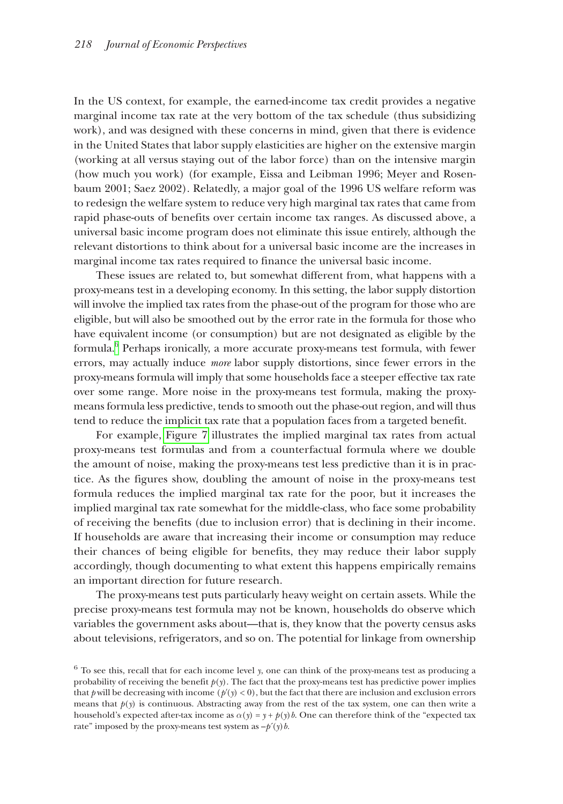In the US context, for example, the earned-income tax credit provides a negative marginal income tax rate at the very bottom of the tax schedule (thus subsidizing work), and was designed with these concerns in mind, given that there is evidence in the United States that labor supply elasticities are higher on the extensive margin (working at all versus staying out of the labor force) than on the intensive margin (how much you work) (for example, Eissa and Leibman 1996; Meyer and Rosenbaum 2001; Saez 2002). Relatedly, a major goal of the 1996 US welfare reform was to redesign the welfare system to reduce very high marginal tax rates that came from rapid phase-outs of benefits over certain income tax ranges. As discussed above, a universal basic income program does not eliminate this issue entirely, although the relevant distortions to think about for a universal basic income are the increases in marginal income tax rates required to finance the universal basic income.

These issues are related to, but somewhat different from, what happens with a proxy-means test in a developing economy. In this setting, the labor supply distortion will involve the implied tax rates from the phase-out of the program for those who are eligible, but will also be smoothed out by the error rate in the formula for those who have equivalent income (or consumption) but are not designated as eligible by the formula.<sup>[6](#page-17-0)</sup> Perhaps ironically, a more accurate proxy-means test formula, with fewer errors, may actually induce *more* labor supply distortions, since fewer errors in the proxy-means formula will imply that some households face a steeper effective tax rate over some range. More noise in the proxy-means test formula, making the proxymeans formula less predictive, tends to smooth out the phase-out region, and will thus tend to reduce the implicit tax rate that a population faces from a targeted benefit.

For example, [Figure 7](#page-18-0) illustrates the implied marginal tax rates from actual proxy-means test formulas and from a counterfactual formula where we double the amount of noise, making the proxy-means test less predictive than it is in practice. As the figures show, doubling the amount of noise in the proxy-means test formula reduces the implied marginal tax rate for the poor, but it increases the implied marginal tax rate somewhat for the middle-class, who face some probability of receiving the benefits (due to inclusion error) that is declining in their income. If households are aware that increasing their income or consumption may reduce their chances of being eligible for benefits, they may reduce their labor supply accordingly, though documenting to what extent this happens empirically remains an important direction for future research.

The proxy-means test puts particularly heavy weight on certain assets. While the precise proxy-means test formula may not be known, households do observe which variables the government asks about—that is, they know that the poverty census asks about televisions, refrigerators, and so on. The potential for linkage from ownership

<span id="page-17-0"></span><sup>6</sup> To see this, recall that for each income level *y*, one can think of the proxy-means test as producing a probability of receiving the benefit *p*(*y*). The fact that the proxy-means test has predictive power implies that *p* will be decreasing with income ( $p'(y) < 0$ ), but the fact that there are inclusion and exclusion errors means that  $p(y)$  is continuous. Abstracting away from the rest of the tax system, one can then write a household's expected after-tax income as  $\alpha(y) = y + p(y) b$ . One can therefore think of the "expected tax" rate" imposed by the proxy-means test system as  $-p'(y)b$ .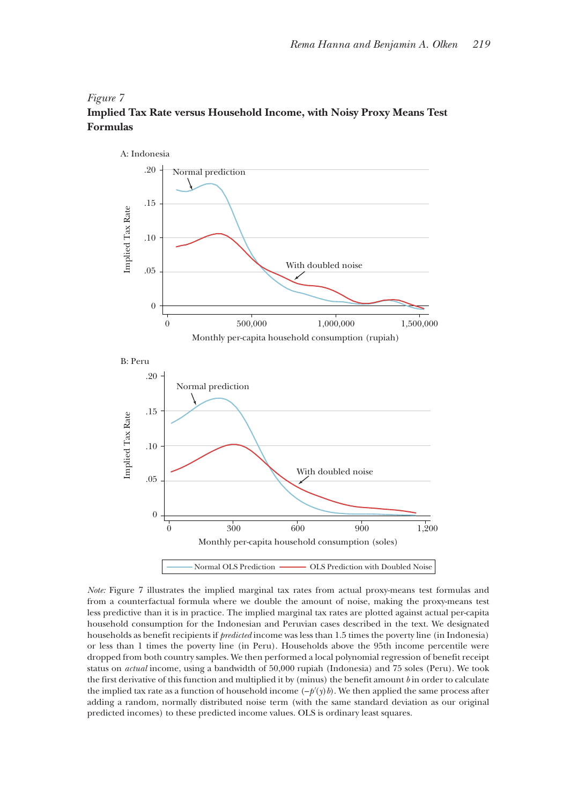<span id="page-18-0"></span>



*Note:* Figure 7 illustrates the implied marginal tax rates from actual proxy-means test formulas and from a counterfactual formula where we double the amount of noise, making the proxy-means test less predictive than it is in practice. The implied marginal tax rates are plotted against actual per-capita household consumption for the Indonesian and Peruvian cases described in the text. We designated households as benefit recipients if *predicted* income was less than 1.5 times the poverty line (in Indonesia) or less than 1 times the poverty line (in Peru). Households above the 95th income percentile were dropped from both country samples. We then performed a local polynomial regression of benefit receipt status on *actual* income, using a bandwidth of 50,000 rupiah (Indonesia) and 75 soles (Peru). We took the first derivative of this function and multiplied it by (minus) the benefit amount *b* in order to calculate the implied tax rate as a function of household income  $(-p'(\gamma)b)$ . We then applied the same process after adding a random, normally distributed noise term (with the same standard deviation as our original predicted incomes) to these predicted income values. OLS is ordinary least squares.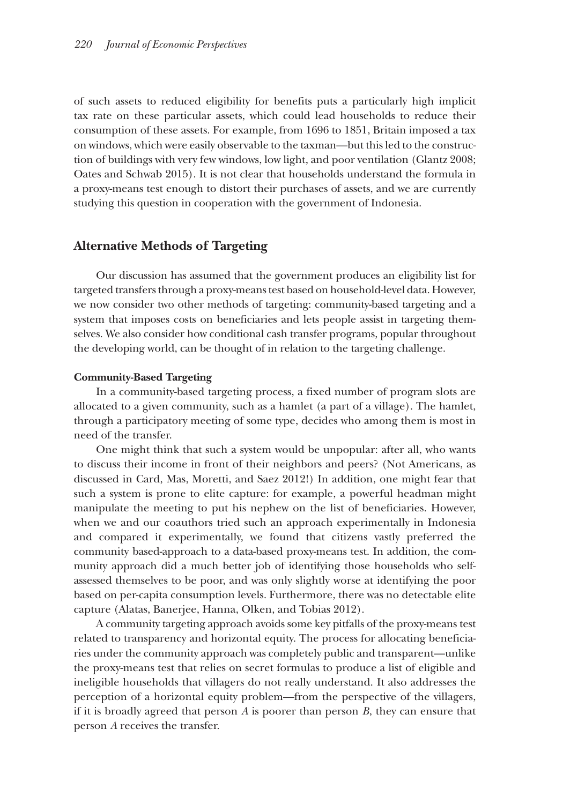of such assets to reduced eligibility for benefits puts a particularly high implicit tax rate on these particular assets, which could lead households to reduce their consumption of these assets. For example, from 1696 to 1851, Britain imposed a tax on windows, which were easily observable to the taxman—but this led to the construction of buildings with very few windows, low light, and poor ventilation (Glantz 2008; Oates and Schwab 2015). It is not clear that households understand the formula in a proxy-means test enough to distort their purchases of assets, and we are currently studying this question in cooperation with the government of Indonesia.

## **Alternative Methods of Targeting**

Our discussion has assumed that the government produces an eligibility list for targeted transfers through a proxy-means test based on household-level data. However, we now consider two other methods of targeting: community-based targeting and a system that imposes costs on beneficiaries and lets people assist in targeting themselves. We also consider how conditional cash transfer programs, popular throughout the developing world, can be thought of in relation to the targeting challenge.

#### **Community-Based Targeting**

In a community-based targeting process, a fixed number of program slots are allocated to a given community, such as a hamlet (a part of a village). The hamlet, through a participatory meeting of some type, decides who among them is most in need of the transfer.

One might think that such a system would be unpopular: after all, who wants to discuss their income in front of their neighbors and peers? (Not Americans, as discussed in Card, Mas, Moretti, and Saez 2012!) In addition, one might fear that such a system is prone to elite capture: for example, a powerful headman might manipulate the meeting to put his nephew on the list of beneficiaries. However, when we and our coauthors tried such an approach experimentally in Indonesia and compared it experimentally, we found that citizens vastly preferred the community based-approach to a data-based proxy-means test. In addition, the community approach did a much better job of identifying those households who selfassessed themselves to be poor, and was only slightly worse at identifying the poor based on per-capita consumption levels. Furthermore, there was no detectable elite capture (Alatas, Banerjee, Hanna, Olken, and Tobias 2012).

A community targeting approach avoids some key pitfalls of the proxy-means test related to transparency and horizontal equity. The process for allocating beneficiaries under the community approach was completely public and transparent—unlike the proxy-means test that relies on secret formulas to produce a list of eligible and ineligible households that villagers do not really understand. It also addresses the perception of a horizontal equity problem—from the perspective of the villagers, if it is broadly agreed that person *A* is poorer than person *B*, they can ensure that person *A* receives the transfer.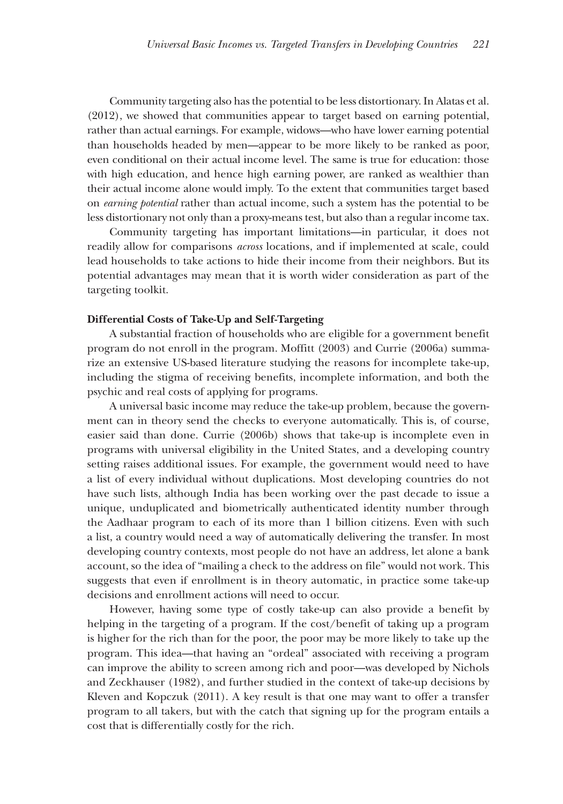Community targeting also has the potential to be less distortionary. In Alatas et al. (2012), we showed that communities appear to target based on earning potential, rather than actual earnings. For example, widows—who have lower earning potential than households headed by men—appear to be more likely to be ranked as poor, even conditional on their actual income level. The same is true for education: those with high education, and hence high earning power, are ranked as wealthier than their actual income alone would imply. To the extent that communities target based on *earning potential* rather than actual income, such a system has the potential to be less distortionary not only than a proxy-means test, but also than a regular income tax.

Community targeting has important limitations—in particular, it does not readily allow for comparisons *across* locations, and if implemented at scale, could lead households to take actions to hide their income from their neighbors. But its potential advantages may mean that it is worth wider consideration as part of the targeting toolkit.

#### **Differential Costs of Take-Up and Self-Targeting**

A substantial fraction of households who are eligible for a government benefit program do not enroll in the program. Moffitt (2003) and Currie (2006a) summarize an extensive US-based literature studying the reasons for incomplete take-up, including the stigma of receiving benefits, incomplete information, and both the psychic and real costs of applying for programs.

A universal basic income may reduce the take-up problem, because the government can in theory send the checks to everyone automatically. This is, of course, easier said than done. Currie (2006b) shows that take-up is incomplete even in programs with universal eligibility in the United States, and a developing country setting raises additional issues. For example, the government would need to have a list of every individual without duplications. Most developing countries do not have such lists, although India has been working over the past decade to issue a unique, unduplicated and biometrically authenticated identity number through the Aadhaar program to each of its more than 1 billion citizens. Even with such a list, a country would need a way of automatically delivering the transfer. In most developing country contexts, most people do not have an address, let alone a bank account, so the idea of "mailing a check to the address on file" would not work. This suggests that even if enrollment is in theory automatic, in practice some take-up decisions and enrollment actions will need to occur.

However, having some type of costly take-up can also provide a benefit by helping in the targeting of a program. If the cost/benefit of taking up a program is higher for the rich than for the poor, the poor may be more likely to take up the program. This idea—that having an "ordeal" associated with receiving a program can improve the ability to screen among rich and poor—was developed by Nichols and Zeckhauser (1982), and further studied in the context of take-up decisions by Kleven and Kopczuk (2011). A key result is that one may want to offer a transfer program to all takers, but with the catch that signing up for the program entails a cost that is differentially costly for the rich.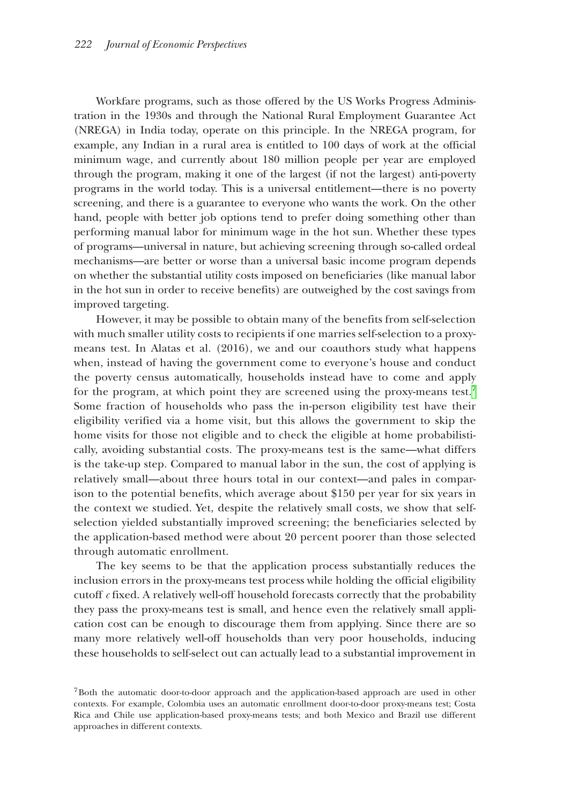Workfare programs, such as those offered by the US Works Progress Administration in the 1930s and through the National Rural Employment Guarantee Act (NREGA) in India today, operate on this principle. In the NREGA program, for example, any Indian in a rural area is entitled to 100 days of work at the official minimum wage, and currently about 180 million people per year are employed through the program, making it one of the largest (if not the largest) anti-poverty programs in the world today. This is a universal entitlement—there is no poverty screening, and there is a guarantee to everyone who wants the work. On the other hand, people with better job options tend to prefer doing something other than performing manual labor for minimum wage in the hot sun. Whether these types of programs—universal in nature, but achieving screening through so-called ordeal mechanisms—are better or worse than a universal basic income program depends on whether the substantial utility costs imposed on beneficiaries (like manual labor in the hot sun in order to receive benefits) are outweighed by the cost savings from improved targeting.

However, it may be possible to obtain many of the benefits from self-selection with much smaller utility costs to recipients if one marries self-selection to a proxymeans test. In Alatas et al. (2016), we and our coauthors study what happens when, instead of having the government come to everyone's house and conduct the poverty census automatically, households instead have to come and apply for the program, at which point they are screened using the proxy-means test.<sup>[7](#page-21-0)</sup> Some fraction of households who pass the in-person eligibility test have their eligibility verified via a home visit, but this allows the government to skip the home visits for those not eligible and to check the eligible at home probabilistically, avoiding substantial costs. The proxy-means test is the same—what differs is the take-up step. Compared to manual labor in the sun, the cost of applying is relatively small—about three hours total in our context—and pales in comparison to the potential benefits, which average about \$150 per year for six years in the context we studied. Yet, despite the relatively small costs, we show that selfselection yielded substantially improved screening; the beneficiaries selected by the application-based method were about 20 percent poorer than those selected through automatic enrollment.

The key seems to be that the application process substantially reduces the inclusion errors in the proxy-means test process while holding the official eligibility cutoff *c* fixed. A relatively well-off household forecasts correctly that the probability they pass the proxy-means test is small, and hence even the relatively small application cost can be enough to discourage them from applying. Since there are so many more relatively well-off households than very poor households, inducing these households to self-select out can actually lead to a substantial improvement in

<span id="page-21-0"></span><sup>7</sup>Both the automatic door-to-door approach and the application-based approach are used in other contexts. For example, Colombia uses an automatic enrollment door-to-door proxy-means test; Costa Rica and Chile use application-based proxy-means tests; and both Mexico and Brazil use different approaches in different contexts.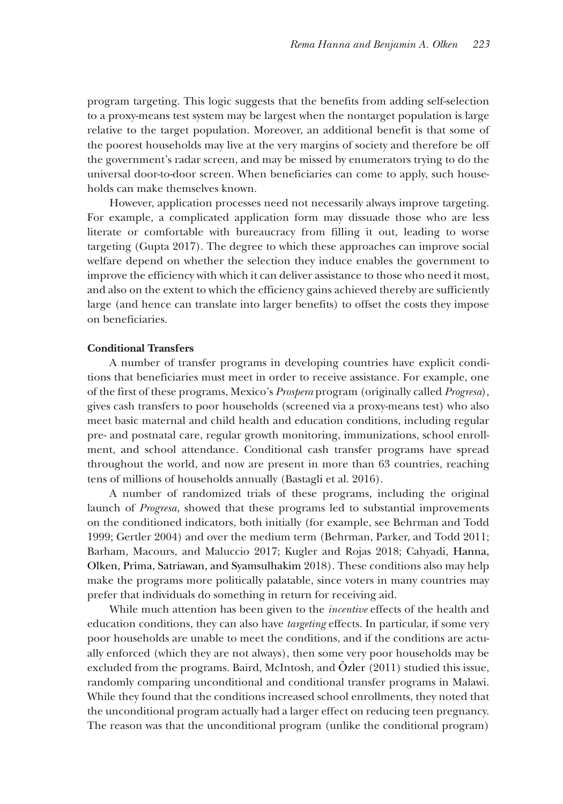program targeting. This logic suggests that the benefits from adding self-selection to a proxy-means test system may be largest when the nontarget population is large relative to the target population. Moreover, an additional benefit is that some of the poorest households may live at the very margins of society and therefore be off the government's radar screen, and may be missed by enumerators trying to do the universal door-to-door screen. When beneficiaries can come to apply, such households can make themselves known.

However, application processes need not necessarily always improve targeting. For example, a complicated application form may dissuade those who are less literate or comfortable with bureaucracy from filling it out, leading to worse targeting (Gupta 2017). The degree to which these approaches can improve social welfare depend on whether the selection they induce enables the government to improve the efficiency with which it can deliver assistance to those who need it most, and also on the extent to which the efficiency gains achieved thereby are sufficiently large (and hence can translate into larger benefits) to offset the costs they impose on beneficiaries.

#### **Conditional Transfers**

A number of transfer programs in developing countries have explicit conditions that beneficiaries must meet in order to receive assistance. For example, one of the first of these programs, Mexico's *Prospera* program (originally called *Progresa*), gives cash transfers to poor households (screened via a proxy-means test) who also meet basic maternal and child health and education conditions, including regular pre- and postnatal care, regular growth monitoring, immunizations, school enrollment, and school attendance. Conditional cash transfer programs have spread throughout the world, and now are present in more than 63 countries, reaching tens of millions of households annually (Bastagli et al. 2016).

A number of randomized trials of these programs, including the original launch of *Progresa*, showed that these programs led to substantial improvements on the conditioned indicators, both initially (for example, see Behrman and Todd 1999; Gertler 2004) and over the medium term (Behrman, Parker, and Todd 2011; Barham, Macours, and Maluccio 2017; Kugler and Rojas 2018; Cahyadi, Hanna, Olken, Prima, Satriawan, and Syamsulhakim 2018). These conditions also may help make the programs more politically palatable, since voters in many countries may prefer that individuals do something in return for receiving aid.

While much attention has been given to the *incentive* effects of the health and education conditions, they can also have *targeting* effects. In particular, if some very poor households are unable to meet the conditions, and if the conditions are actually enforced (which they are not always), then some very poor households may be excluded from the programs. Baird, McIntosh, and Özler (2011) studied this issue, randomly comparing unconditional and conditional transfer programs in Malawi. While they found that the conditions increased school enrollments, they noted that the unconditional program actually had a larger effect on reducing teen pregnancy. The reason was that the unconditional program (unlike the conditional program)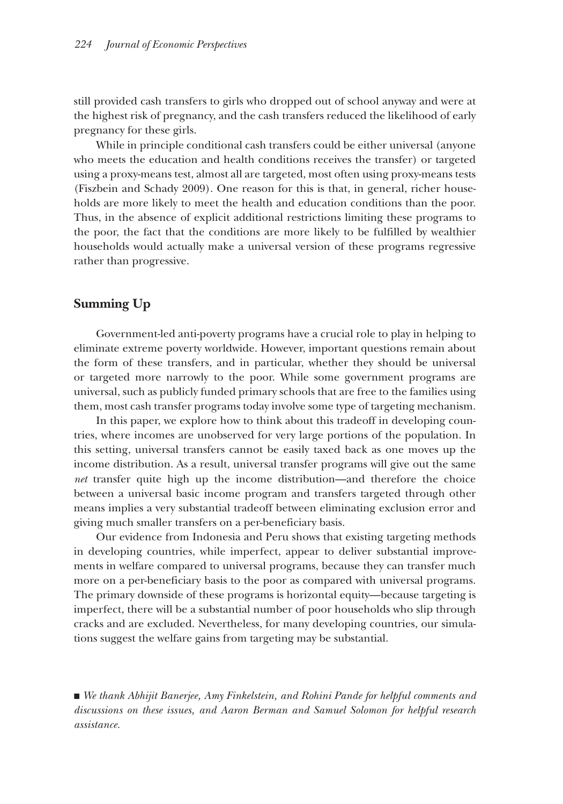still provided cash transfers to girls who dropped out of school anyway and were at the highest risk of pregnancy, and the cash transfers reduced the likelihood of early pregnancy for these girls.

While in principle conditional cash transfers could be either universal (anyone who meets the education and health conditions receives the transfer) or targeted using a proxy-means test, almost all are targeted, most often using proxy-means tests (Fiszbein and Schady 2009). One reason for this is that, in general, richer households are more likely to meet the health and education conditions than the poor. Thus, in the absence of explicit additional restrictions limiting these programs to the poor, the fact that the conditions are more likely to be fulfilled by wealthier households would actually make a universal version of these programs regressive rather than progressive.

## **Summing Up**

Government-led anti-poverty programs have a crucial role to play in helping to eliminate extreme poverty worldwide. However, important questions remain about the form of these transfers, and in particular, whether they should be universal or targeted more narrowly to the poor. While some government programs are universal, such as publicly funded primary schools that are free to the families using them, most cash transfer programs today involve some type of targeting mechanism.

In this paper, we explore how to think about this tradeoff in developing countries, where incomes are unobserved for very large portions of the population. In this setting, universal transfers cannot be easily taxed back as one moves up the income distribution. As a result, universal transfer programs will give out the same *net* transfer quite high up the income distribution—and therefore the choice between a universal basic income program and transfers targeted through other means implies a very substantial tradeoff between eliminating exclusion error and giving much smaller transfers on a per-beneficiary basis.

Our evidence from Indonesia and Peru shows that existing targeting methods in developing countries, while imperfect, appear to deliver substantial improvements in welfare compared to universal programs, because they can transfer much more on a per-beneficiary basis to the poor as compared with universal programs. The primary downside of these programs is horizontal equity—because targeting is imperfect, there will be a substantial number of poor households who slip through cracks and are excluded. Nevertheless, for many developing countries, our simulations suggest the welfare gains from targeting may be substantial.

<sup>■</sup> *We thank Abhijit Banerjee, Amy Finkelstein, and Rohini Pande for helpful comments and discussions on these issues, and Aaron Berman and Samuel Solomon for helpful research assistance.*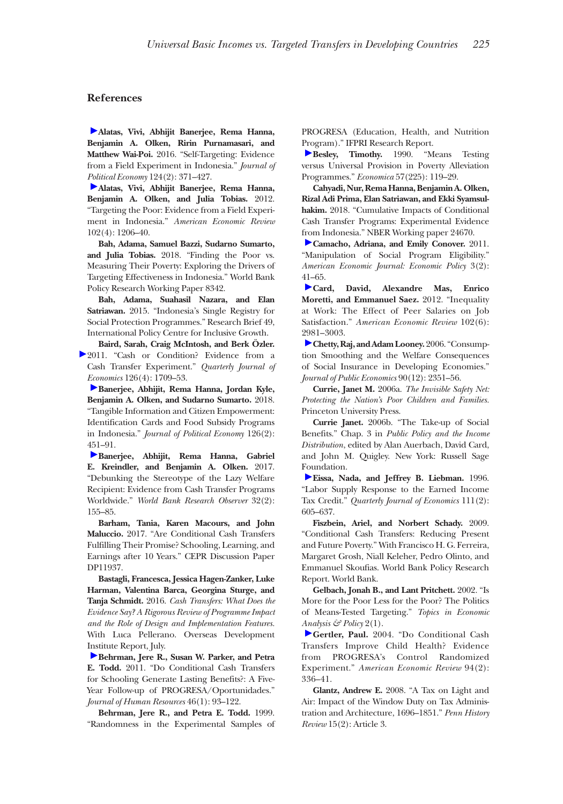### **References**

**Alatas, Vivi, Abhijit Banerjee, Rema Hanna, Benjamin A. Olken, Ririn Purnamasari, and Matthew Wai-Poi.** 2016. "Self-Targeting: Evidence from a Field Experiment in Indonesia." *Journal of Political Economy* 124(2): 371–427.

**Alatas, Vivi, Abhijit Banerjee, Rema Hanna, Benjamin A. Olken, and Julia Tobias.** 2012. "Targeting the Poor: Evidence from a Field Experiment in Indonesia." *American Economic Review* 102(4): 1206–40.

**Bah, Adama, Samuel Bazzi, Sudarno Sumarto, and Julia Tobias.** 2018. "Finding the Poor vs. Measuring Their Poverty: Exploring the Drivers of Targeting Effectiveness in Indonesia." World Bank Policy Research Working Paper 8342.

**Bah, Adama, Suahasil Nazara, and Elan Satriawan.** 2015. "Indonesia's Single Registry for Social Protection Programmes." Research Brief 49, International Policy Centre for Inclusive Growth.

**Baird, Sarah, Craig McIntosh, and Berk Özler.**  2011. "Cash or Condition? Evidence from a Cash Transfer Experiment." *Quarterly Journal of Economics* 126(4): 1709–53.

**Banerjee, Abhijit, Rema Hanna, Jordan Kyle, Benjamin A. Olken, and Sudarno Sumarto.** 2018. "Tangible Information and Citizen Empowerment: Identification Cards and Food Subsidy Programs in Indonesia." *Journal of Political Economy* 126(2): 451–91.

**Banerjee, Abhijit, Rema Hanna, Gabriel E. Kreindler, and Benjamin A. Olken.** 2017. "Debunking the Stereotype of the Lazy Welfare Recipient: Evidence from Cash Transfer Programs Worldwide." *World Bank Research Observer* 32(2): 155–85.

**Barham, Tania, Karen Macours, and John Maluccio.** 2017. "Are Conditional Cash Transfers Fulfilling Their Promise? Schooling, Learning, and Earnings after 10 Years." CEPR Discussion Paper DP11937.

**Bastagli, Francesca, Jessica Hagen-Zanker, Luke Harman, Valentina Barca, Georgina Sturge, and Tanja Schmidt.** 2016. *Cash Transfers: What Does the Evidence Say? A Rigorous Review of Programme Impact and the Role of Design and Implementation Features.*  With Luca Pellerano. Overseas Development Institute Report, July.

**Behrman, Jere R., Susan W. Parker, and Petra E. Todd.** 2011. "Do Conditional Cash Transfers for Schooling Generate Lasting Benefits?: A Five-Year Follow-up of PROGRESA/Oportunidades." *Journal of Human Resources* 46(1): 93–122.

**Behrman, Jere R., and Petra E. Todd.** 1999. "Randomness in the Experimental Samples of PROGRESA (Education, Health, and Nutrition Program)." IFPRI Research Report.

**Besley, Timothy.** 1990. "Means Testing versus Universal Provision in Poverty Alleviation Programmes." *Economica* 57(225): 119–29.

**Cahyadi, Nur, Rema Hanna, Benjamin A. Olken, Rizal Adi Prima, Elan Satriawan, and Ekki Syamsulhakim.** 2018. "Cumulative Impacts of Conditional Cash Transfer Programs: Experimental Evidence from Indonesia." NBER Working paper 24670.

**Camacho, Adriana, and Emily Conover.** 2011. "Manipulation of Social Program Eligibility." *American Economic Journal: Economic Policy* 3(2): 41–65.

**Card, David, Alexandre Mas, Enrico Moretti, and Emmanuel Saez.** 2012. "Inequality at Work: The Effect of Peer Salaries on Job Satisfaction." American Economic Review 102(6): 2981–3003.

**Chetty, Raj, and Adam Looney.** 2006. "Consumption Smoothing and the Welfare Consequences of Social Insurance in Developing Economies." *Journal of Public Economics* 90(12): 2351–56.

**Currie, Janet M.** 2006a. *The Invisible Safety Net: Protecting the Nation's Poor Children and Families.*  Princeton University Press.

**Currie Janet.** 2006b. "The Take-up of Social Benefits." Chap. 3 in *Public Policy and the Income Distribution*, edited by Alan Auerbach, David Card, and John M. Quigley. New York: Russell Sage Foundation.

**[E](http://pubs.aeaweb.org/action/showLinks?doi=10.1257%2Fjep.32.4.201&crossref=10.2307%2F2946689&citationId=p_20)issa, Nada, and Jeffrey B. Liebman.** 1996. "Labor Supply Response to the Earned Income Tax Credit." *Quarterly Journal of Economics* 111(2): 605–637.

**Fiszbein, Ariel, and Norbert Schady.** 2009. "Conditional Cash Transfers: Reducing Present and Future Poverty." With Francisco H. G. Ferreira, Margaret Grosh, Niall Keleher, Pedro Olinto, and Emmanuel Skoufias. World Bank Policy Research Report. World Bank.

**Gelbach, Jonah B., and Lant Pritchett.** 2002. "Is More for the Poor Less for the Poor? The Politics of Means-Tested Targeting." *Topics in Economic Analysis & Policy* 2(1).

**[G](http://pubs.aeaweb.org/action/showLinks?doi=10.1257%2Fjep.32.4.201&system=10.1257%2F0002828041302109&citationId=p_23)ertler, Paul.**  2004. "Do Conditional Cash Transfers Improve Child Health? Evidence from PROGRESA's Control Randomized Experiment." *American Economic Review* 94(2): 336–41.

**Glantz, Andrew E.** 2008. "A Tax on Light and Air: Impact of the Window Duty on Tax Administration and Architecture, 1696–1851." *Penn History Review* 15(2): Article 3.